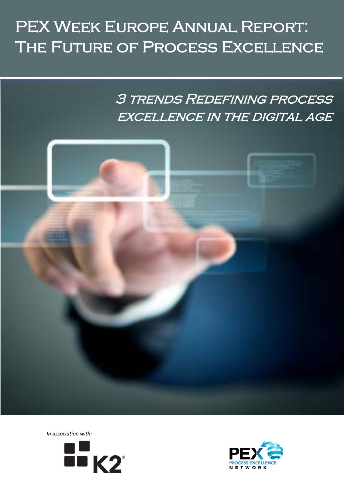# PEX WEEK EUROPE ANNUAL REPORT: THE FUTURE OF PROCESS EXCELLENCE

3 trends Redefining process EXCELLENCE IN THE DIGITAL AGE





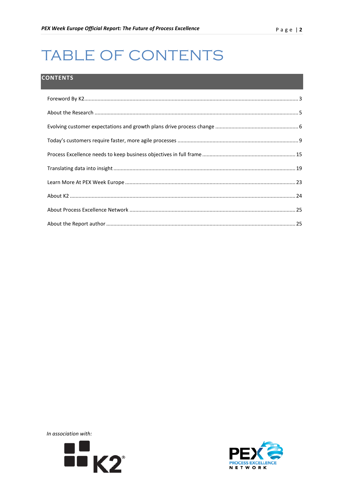# TABLE OF CONTENTS

## **CONTENTS**



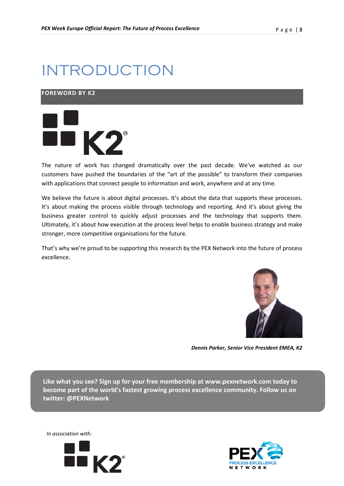# INTRODUCTION

## <span id="page-2-0"></span>**FOREWORD BY K2**



The nature of work has changed dramatically over the past decade. We've watched as our customers have pushed the boundaries of the "art of the possible" to transform their companies with applications that connect people to information and work, anywhere and at any time.

We believe the future is about digital processes. It's about the data that supports these processes. It's about making the process visible through technology and reporting. And it's about giving the business greater control to quickly adjust processes and the technology that supports them. Ultimately, it's about how execution at the process level helps to enable business strategy and make stronger, more competitive organisations for the future.

That's why we're proud to be supporting this research by the PEX Network into the future of process excellence.



*Dennis Parker, Senior Vice President EMEA, K2*

**Like what you see? Sign up for your free membership at www.pexnetwork.com today to become part of the world's fastest growing process excellence community. Follow us on twitter: @PEXNetwork**





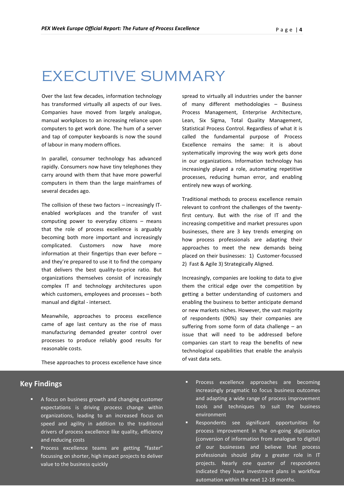## EXECUTIVE SUMMARY

Over the last few decades, information technology has transformed virtually all aspects of our lives. Companies have moved from largely analogue, manual workplaces to an increasing reliance upon computers to get work done. The hum of a server and tap of computer keyboards is now the sound of labour in many modern offices.

In parallel, consumer technology has advanced rapidly. Consumers now have tiny telephones they carry around with them that have more powerful computers in them than the large mainframes of several decades ago.

The collision of these two factors – increasingly ITenabled workplaces and the transfer of vast computing power to everyday citizens – means that the role of process excellence is arguably becoming both more important and increasingly complicated. Customers now have more information at their fingertips than ever before – and they're prepared to use it to find the company that delivers the best quality-to-price ratio. But organizations themselves consist of increasingly complex IT and technology architectures upon which customers, employees and processes – both manual and digital - intersect.

Meanwhile, approaches to process excellence came of age last century as the rise of mass manufacturing demanded greater control over processes to produce reliably good results for reasonable costs.

These approaches to process excellence have since

spread to virtually all industries under the banner of many different methodologies – Business Process Management, Enterprise Architecture, Lean, Six Sigma, Total Quality Management, Statistical Process Control. Regardless of what it is called the fundamental purpose of Process Excellence remains the same: it is about systematically improving the way work gets done in our organizations. Information technology has increasingly played a role, automating repetitive processes, reducing human error, and enabling entirely new ways of working.

Traditional methods to process excellence remain relevant to confront the challenges of the twentyfirst century. But with the rise of IT and the increasing competitive and market pressures upon businesses, there are 3 key trends emerging on how process professionals are adapting their approaches to meet the new demands being placed on their businesses: 1) Customer-focussed 2) Fast & Agile 3) Strategically Aligned.

Increasingly, companies are looking to data to give them the critical edge over the competition by getting a better understanding of customers and enabling the business to better anticipate demand or new markets niches. However, the vast majority of respondents (90%) say their companies are suffering from some form of data challenge – an issue that will need to be addressed before companies can start to reap the benefits of new technological capabilities that enable the analysis of vast data sets.

## **Key Findings**

- *In association with:*  drivers of process excellence like quality, efficiency A focus on business growth and changing customer expectations is driving process change within organizations, leading to an increased focus on speed and agility in addition to the traditional and reducing costs
- Process excellence teams are getting "faster" focussing on shorter, high impact projects to deliver value to the business quickly
- **Process excellence approaches are becoming** increasingly pragmatic to focus business outcomes and adapting a wide range of process improvement tools and techniques to suit the business environment
- Respondents see significant opportunities for process improvement in the on-going digitisation (conversion of information from analogue to digital) of our businesses and believe that process professionals should play a greater role in IT projects. Nearly one quarter of respondents indicated they have investment plans in workflow automation within the next 12-18 months.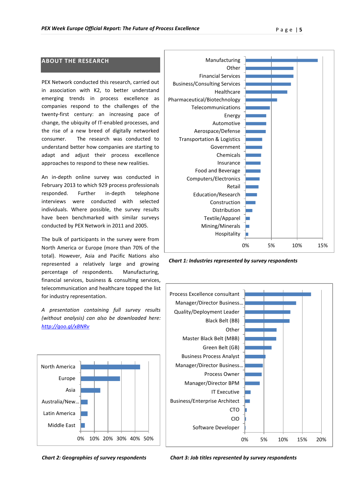### **ABOUT THE RESEARCH**

PEX Network conducted this research, carried out in association with K2, to better understand emerging trends in process excellence as companies respond to the challenges of the twenty-first century: an increasing pace of change, the ubiquity of IT-enabled processes, and the rise of a new breed of digitally networked consumer. The research was conducted to understand better how companies are starting to adapt and adjust their process excellence approaches to respond to these new realities.

An in-depth online survey was conducted in February 2013 to which 929 process professionals responded. Further in-depth telephone interviews were conducted with selected individuals. Where possible, the survey results have been benchmarked with similar surveys conducted by PEX Network in 2011 and 2005.

The bulk of participants in the survey were from North America or Europe (more than 70% of the total). However, Asia and Pacific Nations also represented a relatively large and growing percentage of respondents. Manufacturing, financial services, business & consulting services, telecommunication and healthcare topped the list for industry representation.

*A presentation containing full survey results (without analysis) can also be downloaded here: <http://goo.gl/xBNRv>*





*Chart 1: Industries represented by survey respondents*



*Chart 2: Geographies of survey respondents*

*Chart 3: Job titles represented by survey respondents*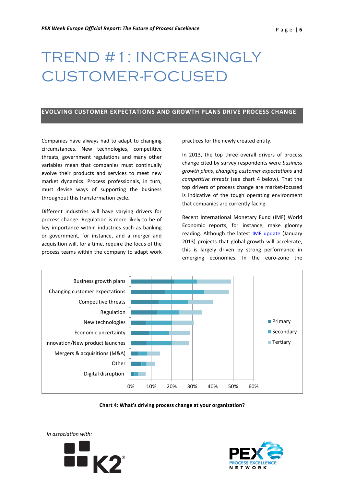# TREND #1: INCREASINGLY CUSTOMER-FOCUSED

#### <span id="page-5-0"></span>**EVOLVING CUSTOMER EXPECTATIONS AND GROWTH PLANS DRIVE PROCESS CHANGE**

Companies have always had to adapt to changing circumstances. New technologies, competitive threats, government regulations and many other variables mean that companies must continually evolve their products and services to meet new market dynamics. Process professionals, in turn, must devise ways of supporting the business throughout this transformation cycle.

Different industries will have varying drivers for process change. Regulation is more likely to be of key importance within industries such as banking or government, for instance, and a merger and acquisition will, for a time, require the focus of the process teams within the company to adapt work

practices for the newly created entity.

In 2013, the top three overall drivers of process change cited by survey respondents were *business growth plans*, *changing customer expectations* and *competitive threats* (see chart 4 below). That the top drivers of process change are market-focused is indicative of the tough operating environment that companies are currently facing.

Recent International Monetary Fund (IMF) World Economic reports, for instance, make gloomy reading. Although the latest **IMF update** (January 2013) projects that global growth will accelerate, this is largely driven by strong performance in emerging economies. In the euro-zone the



**Chart 4: What's driving process change at your organization?**



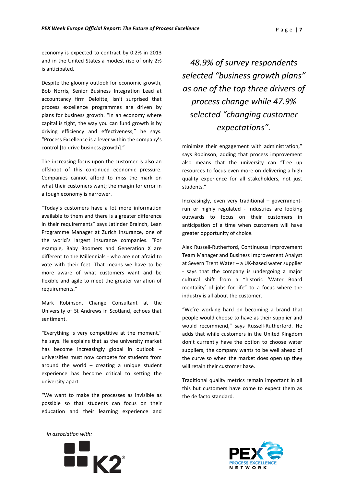economy is expected to contract by 0.2% in 2013 and in the United States a modest rise of only 2% is anticipated.

Despite the gloomy outlook for economic growth, Bob Norris, Senior Business Integration Lead at accountancy firm Deloitte, isn't surprised that process excellence programmes are driven by plans for business growth. "In an economy where capital is tight, the way you can fund growth is by driving efficiency and effectiveness," he says. "Process Excellence is a lever within the company's control [to drive business growth]."

The increasing focus upon the customer is also an offshoot of this continued economic pressure. Companies cannot afford to miss the mark on what their customers want; the margin for error in a tough economy is narrower.

"Today's customers have a lot more information available to them and there is a greater difference in their requirements" says Jatinder Brainch, Lean Programme Manager at Zurich Insurance, one of the world's largest insurance companies. "For example, Baby Boomers and Generation X are different to the Millennials - who are not afraid to vote with their feet. That means we have to be more aware of what customers want and be flexible and agile to meet the greater variation of requirements."

Mark Robinson, Change Consultant at the University of St Andrews in Scotland, echoes that sentiment.

"Everything is very competitive at the moment," he says. He explains that as the university market has become increasingly global in outlook – universities must now compete for students from around the world – creating a unique student experience has become critical to setting the university apart.

"We want to make the processes as invisible as possible so that students can focus on their education and their learning experience and

*48.9% of survey respondents selected "business growth plans" as one of the top three drivers of process change while 47.9% selected "changing customer expectations".*

minimize their engagement with administration," says Robinson, adding that process improvement also means that the university can "free up resources to focus even more on delivering a high quality experience for all stakeholders, not just students."

Increasingly, even very traditional – governmentrun or highly regulated - industries are looking outwards to focus on their customers in anticipation of a time when customers will have greater opportunity of choice.

Alex Russell-Rutherford, Continuous Improvement Team Manager and Business Improvement Analyst at Severn Trent Water – a UK-based water supplier - says that the company is undergoing a major cultural shift from a "historic 'Water Board mentality' of jobs for life" to a focus where the industry is all about the customer.

"We're working hard on becoming a brand that people would choose to have as their supplier and would recommend," says Russell-Rutherford. He adds that while customers in the United Kingdom don't currently have the option to choose water suppliers, the company wants to be well ahead of the curve so when the market does open up they will retain their customer base.

Traditional quality metrics remain important in all this but customers have come to expect them as the de facto standard.





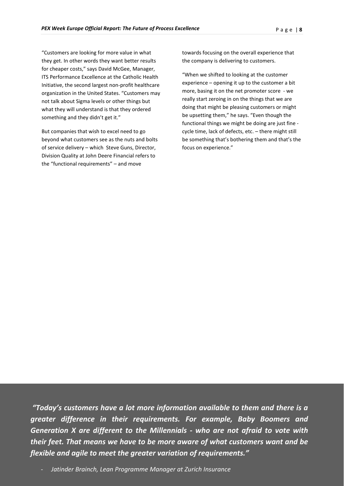"Customers are looking for more value in what they get. In other words they want better results for cheaper costs," says David McGee, Manager, ITS Performance Excellence at the Catholic Health Initiative, the second largest non-profit healthcare organization in the United States. "Customers may not talk about Sigma levels or other things but what they will understand is that they ordered something and they didn't get it."

But companies that wish to excel need to go beyond what customers see as the nuts and bolts of service delivery – which Steve Guns, Director, Division Quality at John Deere Financial refers to the "functional requirements" – and move

towards focusing on the overall experience that the company is delivering to customers.

"When we shifted to looking at the customer experience – opening it up to the customer a bit more, basing it on the net promoter score - we really start zeroing in on the things that we are doing that might be pleasing customers or might be upsetting them," he says. "Even though the functional things we might be doing are just fine cycle time, lack of defects, etc. – there might still be something that's bothering them and that's the focus on experience."

*In association with: Generation X are different to the Millennials - who are not afraid to vote with "Today's customers have a lot more information available to them and there is a greater difference in their requirements. For example, Baby Boomers and their feet. That means we have to be more aware of what customers want and be flexible and agile to meet the greater variation of requirements."* 

- *Jatinder Brainch, Lean Programme Manager at Zurich Insurance*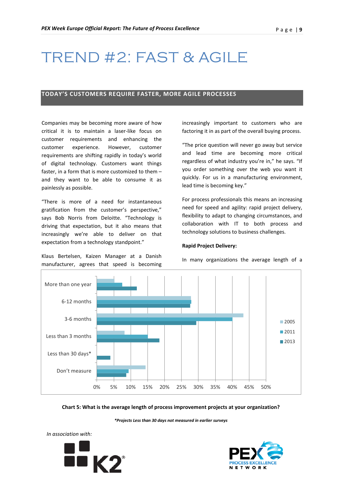## TREND #2: FAST & AGILE

### <span id="page-8-0"></span>**TODAY'S CUSTOMERS REQUIRE FASTER, MORE AGILE PROCESSES**

Companies may be becoming more aware of how critical it is to maintain a laser-like focus on customer requirements and enhancing the customer experience. However, customer requirements are shifting rapidly in today's world of digital technology. Customers want things faster, in a form that is more customized to them – and they want to be able to consume it as painlessly as possible.

"There is more of a need for instantaneous gratification from the customer's perspective," says Bob Norris from Deloitte. "Technology is driving that expectation, but it also means that increasingly we're able to deliver on that expectation from a technology standpoint."

Klaus Bertelsen, Kaizen Manager at a Danish manufacturer, agrees that speed is becoming

increasingly important to customers who are factoring it in as part of the overall buying process.

"The price question will never go away but service and lead time are becoming more critical regardless of what industry you're in," he says. "If you order something over the web you want it quickly. For us in a manufacturing environment, lead time is becoming key."

For process professionals this means an increasing need for speed and agility: rapid project delivery, flexibility to adapt to changing circumstances, and collaboration with IT to both process and technology solutions to business challenges.

#### **Rapid Project Delivery:**

In many organizations the average length of a



#### **Chart 5: What is the average length of process improvement projects at your organization?**

*\*Projects Less than 30 days not measured in earlier surveys*



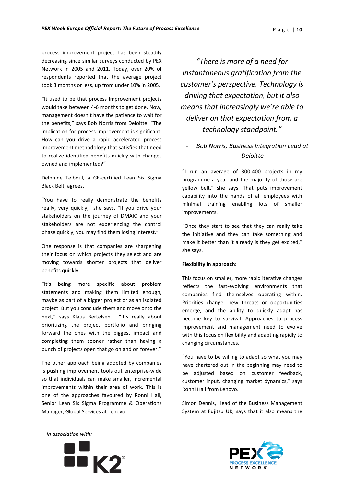process improvement project has been steadily decreasing since similar surveys conducted by PEX Network in 2005 and 2011. Today, over 20% of respondents reported that the average project took 3 months or less, up from under 10% in 2005.

"It used to be that process improvement projects would take between 4-6 months to get done. Now, management doesn't have the patience to wait for the benefits," says Bob Norris from Deloitte. "The implication for process improvement is significant. How can you drive a rapid accelerated process improvement methodology that satisfies that need to realize identified benefits quickly with changes owned and implemented?"

Delphine Telboul, a GE-certified Lean Six Sigma Black Belt, agrees.

"You have to really demonstrate the benefits really, very quickly," she says. "If you drive your stakeholders on the journey of DMAIC and your stakeholders are not experiencing the control phase quickly, you may find them losing interest."

One response is that companies are sharpening their focus on which projects they select and are moving towards shorter projects that deliver benefits quickly.

"It's being more specific about problem statements and making them limited enough, maybe as part of a bigger project or as an isolated project. But you conclude them and move onto the next," says Klaus Bertelsen. "It's really about prioritizing the project portfolio and bringing forward the ones with the biggest impact and completing them sooner rather than having a bunch of projects open that go on and on forever."

The other approach being adopted by companies is pushing improvement tools out enterprise-wide so that individuals can make smaller, incremental improvements within their area of work. This is one of the approaches favoured by Ronni Hall, Senior Lean Six Sigma Programme & Operations Manager, Global Services at Lenovo.

*"There is more of a need for instantaneous gratification from the customer's perspective. Technology is driving that expectation, but it also means that increasingly we're able to deliver on that expectation from a technology standpoint."*

## - *Bob Norris, Business Integration Lead at Deloitte*

"I run an average of 300-400 projects in my programme a year and the majority of those are yellow belt," she says. That puts improvement capability into the hands of all employees with minimal training enabling lots of smaller improvements.

"Once they start to see that they can really take the initiative and they can take something and make it better than it already is they get excited," she says.

#### **Flexibility in approach:**

This focus on smaller, more rapid iterative changes reflects the fast-evolving environments that companies find themselves operating within. Priorities change, new threats or opportunities emerge, and the ability to quickly adapt has become key to survival. Approaches to process improvement and management need to evolve with this focus on flexibility and adapting rapidly to changing circumstances.

"You have to be willing to adapt so what you may have chartered out in the beginning may need to be adjusted based on customer feedback, customer input, changing market dynamics," says Ronni Hall from Lenovo.

Simon Dennis, Head of the Business Management System at Fujitsu UK, says that it also means the





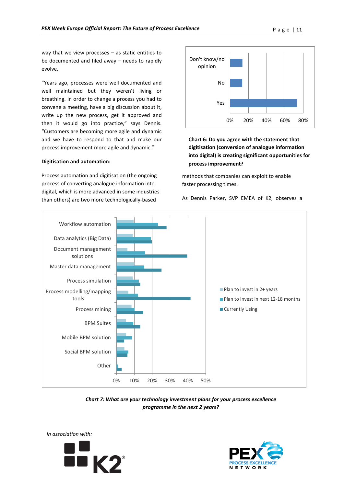way that we view processes – as static entities to be documented and filed away – needs to rapidly evolve.

"Years ago, processes were well documented and well maintained but they weren't living or breathing. In order to change a process you had to convene a meeting, have a big discussion about it, write up the new process, get it approved and then it would go into practice," says Dennis. "Customers are becoming more agile and dynamic and we have to respond to that and make our process improvement more agile and dynamic."

#### **Digitisation and automation:**

Process automation and digitisation (the ongoing process of converting analogue information into digital, which is more advanced in some industries than others) are two more technologically-based



**Chart 6: Do you agree with the statement that digitisation (conversion of analogue information into digital) is creating significant opportunities for process improvement?**

methods that companies can exploit to enable faster processing times.

As Dennis Parker, SVP EMEA of K2, observes a



*Chart 7: What are your technology investment plans for your process excellence programme in the next 2 years?*



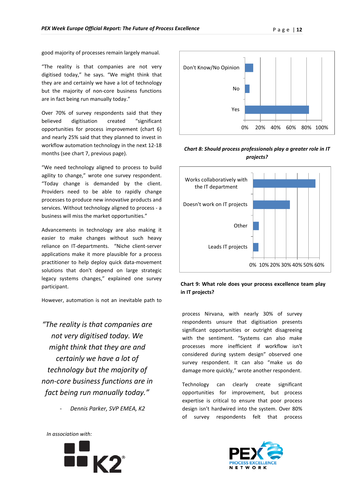good majority of processes remain largely manual.

"The reality is that companies are not very digitised today," he says. "We might think that they are and certainly we have a lot of technology but the majority of non-core business functions are in fact being run manually today."

Over 70% of survey respondents said that they believed digitisation created "significant opportunities for process improvement (chart 6) and nearly 25% said that they planned to invest in workflow automation technology in the next 12-18 months (see chart 7, previous page).

"We need technology aligned to process to build agility to change," wrote one survey respondent. "Today change is demanded by the client. Providers need to be able to rapidly change processes to produce new innovative products and services. Without technology aligned to process - a business will miss the market opportunities."

Advancements in technology are also making it easier to make changes without such heavy reliance on IT-departments. "Niche client-server applications make it more plausible for a process practitioner to help deploy quick data-movement solutions that don't depend on large strategic legacy systems changes," explained one survey participant.

However, automation is not an inevitable path to

*"The reality is that companies are not very digitised today. We might think that they are and certainly we have a lot of technology but the majority of non-core business functions are in fact being run manually today."*

- *Dennis Parker, SVP EMEA, K2*



*Chart 8: Should process professionals play a greater role in IT projects?*



### **Chart 9: What role does your process excellence team play in IT projects?**

process Nirvana, with nearly 30% of survey respondents unsure that digitisation presents significant opportunities or outright disagreeing with the sentiment. "Systems can also make processes more inefficient if workflow isn't considered during system design" observed one survey respondent. It can also "make us do damage more quickly," wrote another respondent.

Technology can clearly create significant opportunities for improvement, but process expertise is critical to ensure that poor process design isn't hardwired into the system. Over 80% of survey respondents felt that process





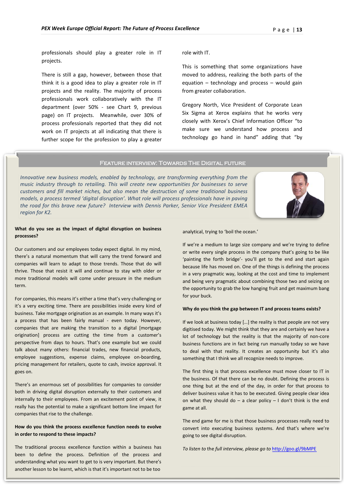professionals should play a greater role in IT projects.

There is still a gap, however, between those that think it is a good idea to play a greater role in IT projects and the reality. The majority of process professionals work collaboratively with the IT department (over 50% - see Chart 9, previous page) on IT projects. Meanwhile, over 30% of process professionals reported that they did not work on IT projects at all indicating that there is further scope for the profession to play a greater role with IT.

This is something that some organizations have moved to address, realizing the both parts of the equation – technology and process – would gain from greater collaboration.

Gregory North, Vice President of Corporate Lean Six Sigma at Xerox explains that he works very closely with Xerox's Chief Information Officer "to make sure we understand how process and technology go hand in hand" adding that "by

#### Feature interview: Towards The Digital future

*Innovative new business models, enabled by technology, are transforming everything from the music industry through to retailing. This will create new opportunities for businesses to serve customers and fill market niches, but also mean the destruction of some traditional business models, a process termed 'digital disruption'. What role will process professionals have in paving the road for this brave new future? Interview with Dennis Parker, Senior Vice President EMEA region for K2.*

#### **What do you see as the impact of digital disruption on business processes?**

Our customers and our employees today expect digital. In my mind, there's a natural momentum that will carry the trend forward and companies will learn to adapt to those trends. Those that do will thrive. Those that resist it will and continue to stay with older or more traditional models will come under pressure in the medium term.

For companies, this means it's either a time that's very challenging or it's a very exciting time. There are possibilities inside every kind of business. Take mortgage origination as an example. In many ways it's a process that has been fairly manual - even today. However, companies that are making the transition to a digital [mortgage origination] process are cutting the time from a customer's perspective from days to hours. That's one example but we could talk about many others: financial trades, new financial products, employee suggestions, expense claims, employee on-boarding, pricing management for retailers, quote to cash, invoice approval. It goes on.

There's an enormous set of possibilities for companies to consider both in driving digital disruption externally to their customers and internally to their employees. From an excitement point of view, it really has the potential to make a significant bottom line impact for companies that rise to the challenge.

#### *In association with:*  **in order to respond to these impacts? How do you think the process excellence function needs to evolve**

The traditional process excellence function within a business has been to define the process. Definition of the process and understanding what you want to get to is very important. But there's another lesson to be learnt, which is that it's important not to be too

analytical, trying to 'boil the ocean.'

If we're a medium to large size company and we're trying to define or write every single process in the company that's going to be like 'painting the forth bridge'- you'll get to the end and start again because life has moved on. One of the things is defining the process in a very pragmatic way, looking at the cost and time to implement and being very pragmatic about combining those two and seizing on the opportunity to grab the low hanging fruit and get maximum bang for your buck.

#### **Why do you think the gap between IT and process teams exists?**

If we look at business today […] the reality is that people are not very digitised today. We might think that they are and certainly we have a lot of technology but the reality is that the majority of non-core business functions are in fact being run manually today so we have to deal with that reality. It creates an opportunity but it's also something that I think we all recognize needs to improve.

The first thing is that process excellence must move closer to IT in the business. Of that there can be no doubt. Defining the process is one thing but at the end of the day, in order for that process to deliver business value it has to be executed. Giving people clear idea on what they should do – a clear policy – I don't think is the end game at all.

The end game for me is that those business processes really need to convert into executing business systems. And that's where we're going to see digital disruption.

*To listen to* the *full interview, please go to* <http://goo.gl/9bMPE>

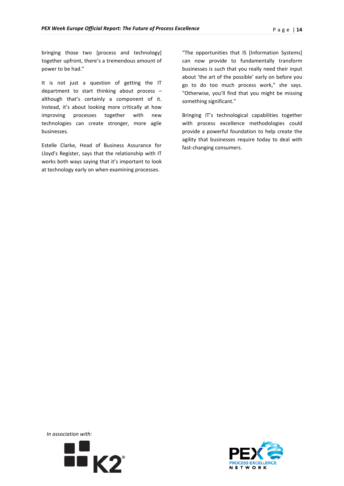bringing those two [process and technology] together upfront, there's a tremendous amount of power to be had."

It is not just a question of getting the IT department to start thinking about process – although that's certainly a component of it. Instead, it's about looking more critically at how improving processes together with new technologies can create stronger, more agile businesses.

Estelle Clarke, Head of Business Assurance for Lloyd's Register, says that the relationship with IT works both ways saying that it's important to look at technology early on when examining processes.

"The opportunities that IS [Information Systems] can now provide to fundamentally transform businesses is such that you really need their input about 'the art of the possible' early on before you go to do too much process work," she says. "Otherwise, you'll find that you might be missing something significant."

Bringing IT's technological capabilities together with process excellence methodologies could provide a powerful foundation to help create the agility that businesses require today to deal with fast-changing consumers.



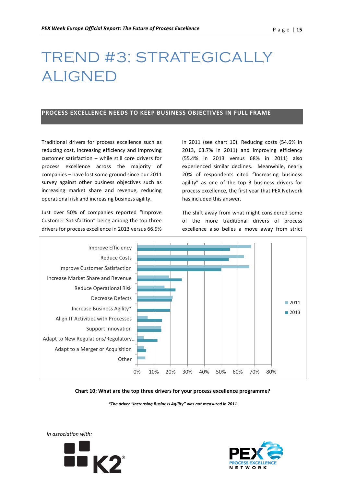# TREND #3: STRATEGICALLY ALIGNED

### <span id="page-14-0"></span>**PROCESS EXCELLENCE NEEDS TO KEEP BUSINESS OBJECTIVES IN FULL FRAME**

Traditional drivers for process excellence such as reducing cost, increasing efficiency and improving customer satisfaction – while still core drivers for process excellence across the majority of companies – have lost some ground since our 2011 survey against other business objectives such as increasing market share and revenue, reducing operational risk and increasing business agility.

Just over 50% of companies reported "Improve Customer Satisfaction" being among the top three drivers for process excellence in 2013 versus 66.9%

in 2011 (see chart 10). Reducing costs (54.6% in 2013, 63.7% in 2011) and improving efficiency (55.4% in 2013 versus 68% in 2011) also experienced similar declines. Meanwhile, nearly 20% of respondents cited "Increasing business agility" as one of the top 3 business drivers for process excellence, the first year that PEX Network has included this answer.

The shift away from what might considered some of the more traditional drivers of process excellence also belies a move away from strict



#### **Chart 10: What are the top three drivers for your process excellence programme?**

*\*The driver "Increasing Business Agility" was not measured in 2011*



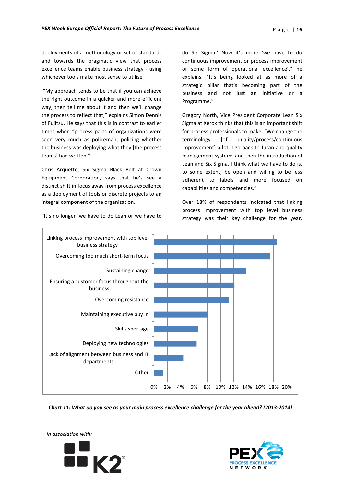deployments of a methodology or set of standards and towards the pragmatic view that process excellence teams enable business strategy - using whichever tools make most sense to utilise

"My approach tends to be that if you can achieve the right outcome in a quicker and more efficient way, then tell me about it and then we'll change the process to reflect that," explains Simon Dennis of Fujitsu. He says that this is in contrast to earlier times when "process parts of organizations were seen very much as policeman, policing whether the business was deploying what they [the process teams] had written."

Chris Arquette, Six Sigma Black Belt at Crown Equipment Corporation, says that he's see a distinct shift in focus away from process excellence as a deployment of tools or discrete projects to an integral component of the organization.

do Six Sigma.' Now it's more 'we have to do continuous improvement or process improvement or some form of operational excellence'," he explains. "It's being looked at as more of a strategic pillar that's becoming part of the business and not just an initiative or a Programme."

Gregory North, Vice President Corporate Lean Six Sigma at Xerox thinks that this is an important shift for process professionals to make: "We change the terminology [of quality/process/continuous improvement] a lot. I go back to Juran and quality management systems and then the introduction of Lean and Six Sigma. I think what we have to do is, to some extent, be open and willing to be less adherent to labels and more focused on capabilities and competencies."

Over 18% of respondents indicated that linking process improvement with top level business strategy was their key challenge for the year.



*Chart 11: What do you see as your main process excellence challenge for the year ahead? (2013-2014)*





"It's no longer 'we have to do Lean or we have to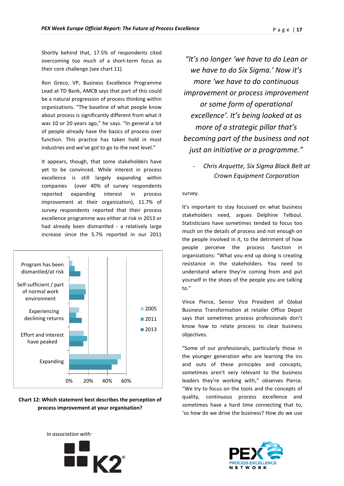Shortly behind that, 17.5% of respondents cited overcoming too much of a short-term focus as their core challenge (see chart 11).

Ron Greco, VP, Business Excellence Programme Lead at TD Bank, AMCB says that part of this could be a natural progression of process thinking within organizations. "The baseline of what people know about process is significantly different from what it was 10 or 20 years ago," he says. "In general a lot of people already have the basics of process over function. This practice has taken hold in most industries and we've got to go to the next level."

It appears, though, that some stakeholders have yet to be convinced. While interest in process excellence is still largely expanding within companies (over 40% of survey respondents reported expanding interest in process improvement at their organization), 11.7% of survey respondents reported that their process excellence programme was either at risk in 2013 or had already been dismantled - a relatively large increase since the 5.7% reported in our 2011



### **Chart 12: Which statement best describes the perception of process improvement at your organisation?**

*"It's no longer 'we have to do Lean or we have to do Six Sigma.' Now it's more 'we have to do continuous improvement or process improvement or some form of operational excellence'. It's being looked at as more of a strategic pillar that's becoming part of the business and not just an initiative or a programme."*

- *Chris Arquette, Six Sigma Black Belt at Crown Equipment Corporation*

#### survey.

It's important to stay focussed on what business stakeholders need, argues Delphine Telboul. Statisticians have sometimes tended to focus too much on the details of process and not enough on the people involved in it, to the detriment of how people perceive the process function in organizations: "What you end up doing is creating resistance in the stakeholders. You need to understand where they're coming from and put yourself in the shoes of the people you are talking to."

Vince Pierce, Senior Vice President of Global Business Transformation at retailer Office Depot says that sometimes process professionals don't know how to relate process to clear business objectives.

"Some of our professionals, particularly those in the younger generation who are learning the ins and outs of these principles and concepts, sometimes aren't very relevant to the business leaders they're working with," observes Pierce. "We try to focus on the tools and the concepts of quality, continuous process excellence and sometimes have a hard time connecting that to, 'so how do we drive the business? How do we use



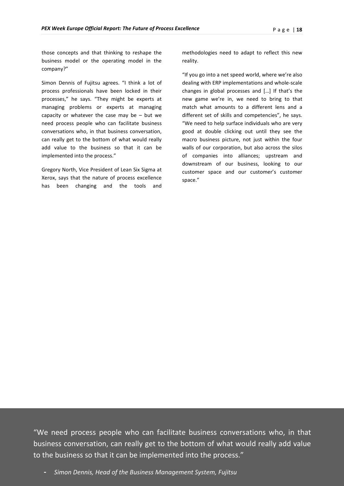those concepts and that thinking to reshape the business model or the operating model in the company?"

Simon Dennis of Fujitsu agrees. "I think a lot of process professionals have been locked in their processes," he says. "They might be experts at managing problems or experts at managing capacity or whatever the case may be  $-$  but we need process people who can facilitate business conversations who, in that business conversation, can really get to the bottom of what would really add value to the business so that it can be implemented into the process."

Gregory North, Vice President of Lean Six Sigma at Xerox, says that the nature of process excellence has been changing and the tools and methodologies need to adapt to reflect this new reality.

"If you go into a net speed world, where we're also dealing with ERP implementations and whole-scale changes in global processes and […] If that's the new game we're in, we need to bring to that match what amounts to a different lens and a different set of skills and competencies", he says. "We need to help surface individuals who are very good at double clicking out until they see the macro business picture, not just within the four walls of our corporation, but also across the silos of companies into alliances; upstream and downstream of our business, looking to our customer space and our customer's customer space."

"We need process people who can facilitate business conversations who, in that business conversation, can really get to the bottom of what would really add value to the business so that it can be implemented into the process."

**-** *Simon Dennis, Head of the Business Management System, Fujitsu*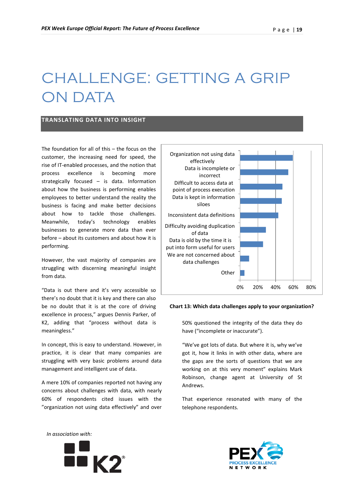# CHALLENGE: GETTING A GRIP ON DATA

### <span id="page-18-0"></span>**TRANSLATING DATA INTO INSIGHT**

The foundation for all of this – the focus on the customer, the increasing need for speed, the rise of IT-enabled processes, and the notion that process excellence is becoming more strategically focused – is data. Information about how the business is performing enables employees to better understand the reality the business is facing and make better decisions about how to tackle those challenges. Meanwhile, today's technology enables businesses to generate more data than ever before – about its customers and about how it is performing.

However, the vast majority of companies are struggling with discerning meaningful insight from data.

"Data is out there and it's very accessible so there's no doubt that it is key and there can also be no doubt that it is at the core of driving excellence in process," argues Dennis Parker, of K2, adding that "process without data is meaningless."

In concept, this is easy to understand. However, in practice, it is clear that many companies are struggling with very basic problems around data management and intelligent use of data.

A mere 10% of companies reported not having any concerns about challenges with data, with nearly 60% of respondents cited issues with the "organization not using data effectively" and over

*In association with:* 



#### **Chart 13: Which data challenges apply to your organization?**

50% questioned the integrity of the data they do have ("incomplete or inaccurate").

"We've got lots of data. But where it is, why we've got it, how it links in with other data, where are the gaps are the sorts of questions that we are working on at this very moment" explains Mark Robinson, change agent at University of St Andrews.

That experience resonated with many of the telephone respondents.



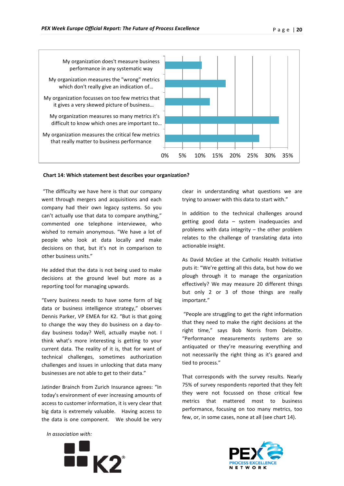

#### **Chart 14: Which statement best describes your organization?**

"The difficulty we have here is that our company went through mergers and acquisitions and each company had their own legacy systems. So you can't actually use that data to compare anything," commented one telephone interviewee, who wished to remain anonymous. "We have a lot of people who look at data locally and make decisions on that, but it's not in comparison to other business units."

He added that the data is not being used to make decisions at the ground level but more as a reporting tool for managing upwards.

"Every business needs to have some form of big data or business intelligence strategy," observes Dennis Parker, VP EMEA for K2. "But is that going to change the way they do business on a day-today business today? Well, actually maybe not. I think what's more interesting is getting to your current data. The reality of it is, that for want of technical challenges, sometimes authorization challenges and issues in unlocking that data many businesses are not able to get to their data."

Jatinder Brainch from Zurich Insurance agrees: "In today's environment of ever increasing amounts of access to customer information, it is very clear that big data is extremely valuable. Having access to the data is one component. We should be very clear in understanding what questions we are trying to answer with this data to start with."

In addition to the technical challenges around getting good data – system inadequacies and problems with data integrity – the other problem relates to the challenge of translating data into actionable insight.

As David McGee at the Catholic Health Initiative puts it: "We're getting all this data, but how do we plough through it to manage the organization effectively? We may measure 20 different things but only 2 or 3 of those things are really important."

"People are struggling to get the right information that they need to make the right decisions at the right time," says Bob Norris from Deloitte. "Performance measurements systems are so antiquated or they're measuring everything and not necessarily the right thing as it's geared and tied to process."

That corresponds with the survey results. Nearly 75% of survey respondents reported that they felt they were not focussed on those critical few metrics that mattered most to business performance, focusing on too many metrics, too few, or, in some cases, none at all (see chart 14).



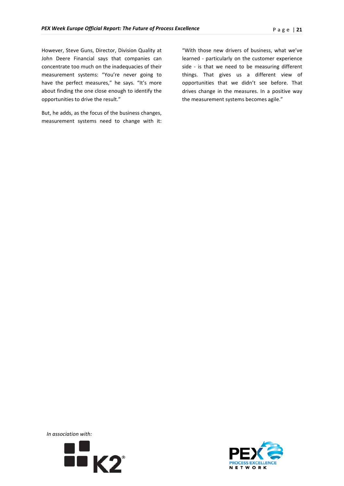However, Steve Guns, Director, Division Quality at John Deere Financial says that companies can concentrate too much on the inadequacies of their measurement systems: "You're never going to have the perfect measures," he says. "It's more about finding the one close enough to identify the opportunities to drive the result."

But, he adds, as the focus of the business changes, measurement systems need to change with it: "With those new drivers of business, what we've learned - particularly on the customer experience side - is that we need to be measuring different things. That gives us a different view of opportunities that we didn't see before. That drives change in the measures. In a positive way the measurement systems becomes agile."



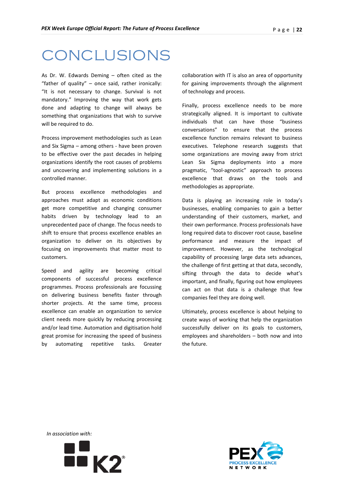## CONCLUSIONS

As Dr. W. Edwards Deming – often cited as the "father of quality" – once said, rather ironically: "It is not necessary to change. Survival is not mandatory." Improving the way that work gets done and adapting to change will always be something that organizations that wish to survive will be required to do.

Process improvement methodologies such as Lean and Six Sigma – among others - have been proven to be effective over the past decades in helping organizations identify the root causes of problems and uncovering and implementing solutions in a controlled manner.

But process excellence methodologies and approaches must adapt as economic conditions get more competitive and changing consumer habits driven by technology lead to an unprecedented pace of change. The focus needs to shift to ensure that process excellence enables an organization to deliver on its objectives by focusing on improvements that matter most to customers.

Speed and agility are becoming critical components of successful process excellence programmes. Process professionals are focussing on delivering business benefits faster through shorter projects. At the same time, process excellence can enable an organization to service client needs more quickly by reducing processing and/or lead time. Automation and digitisation hold great promise for increasing the speed of business by automating repetitive tasks. Greater

collaboration with IT is also an area of opportunity for gaining improvements through the alignment of technology and process.

Finally, process excellence needs to be more strategically aligned. It is important to cultivate individuals that can have those "business conversations" to ensure that the process excellence function remains relevant to business executives. Telephone research suggests that some organizations are moving away from strict Lean Six Sigma deployments into a more pragmatic, "tool-agnostic" approach to process excellence that draws on the tools and methodologies as appropriate.

Data is playing an increasing role in today's businesses, enabling companies to gain a better understanding of their customers, market, and their own performance. Process professionals have long required data to discover root cause, baseline performance and measure the impact of improvement. However, as the technological capability of processing large data sets advances, the challenge of first getting at that data, secondly, sifting through the data to decide what's important, and finally, figuring out how employees can act on that data is a challenge that few companies feel they are doing well.

Ultimately, process excellence is about helping to create ways of working that help the organization successfully deliver on its goals to customers, employees and shareholders – both now and into the future.



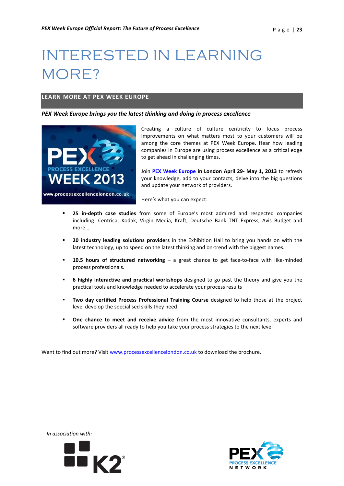# INTERESTED IN LEARNING MORE?

### <span id="page-22-0"></span>**LEARN MORE AT PEX WEEK EUROPE**

*PEX Week Europe brings you the latest thinking and doing in process excellence* 



Creating a culture of culture centricity to focus process improvements on what matters most to your customers will be among the core themes at PEX Week Europe. Hear how leading companies in Europe are using process excellence as a critical edge to get ahead in challenging times.

Join **[PEX Week Europe](http://www.processexcellencelondon.co.uk/) in London April 29- May 1, 2013** to refresh your knowledge, add to your contacts, delve into the big questions and update your network of providers.

Here's what you can expect:

- **25 in-depth case studies** from some of Europe's most admired and respected companies including: Centrica, Kodak, Virgin Media, Kraft, Deutsche Bank TNT Express, Avis Budget and more…
- **20 industry leading solutions providers** in the Exhibition Hall to bring you hands on with the latest technology, up to speed on the latest thinking and on-trend with the biggest names.
- **10.5 hours of structured networking a great chance to get face-to-face with like-minded** process professionals.
- **6 highly interactive and practical workshops** designed to go past the theory and give you the practical tools and knowledge needed to accelerate your process results
- **Two day certified Process Professional Training Course** designed to help those at the project level develop the specialised skills they need!
- **One chance to meet and receive advice** from the most innovative consultants, experts and software providers all ready to help you take your process strategies to the next level

Want to find out more? Visit [www.processexcellencelondon.co.uk](http://www.processexcellencelondon.co.uk/) to download the brochure.



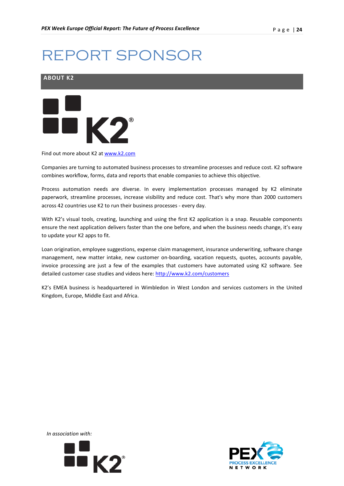# REPORT SPONSOR

<span id="page-23-0"></span>



Find out more about K2 at [www.k2.com](http://www.k2.com/)

Companies are turning to automated business processes to streamline processes and reduce cost. K2 software combines workflow, forms, data and reports that enable companies to achieve this objective.

Process automation needs are diverse. In every implementation processes managed by K2 eliminate paperwork, streamline processes, increase visibility and reduce cost. That's why more than 2000 customers across 42 countries use K2 to run their business processes - every day.

With K2's visual tools, creating, launching and using the first K2 application is a snap. Reusable components ensure the next application delivers faster than the one before, and when the business needs change, it's easy to update your K2 apps to fit.

Loan origination, employee suggestions, expense claim management, insurance underwriting, software change management, new matter intake, new customer on-boarding, vacation requests, quotes, accounts payable, invoice processing are just a few of the examples that customers have automated using K2 software. See detailed customer case studies and videos here:<http://www.k2.com/customers>

K2's EMEA business is headquartered in Wimbledon in West London and services customers in the United Kingdom, Europe, Middle East and Africa.